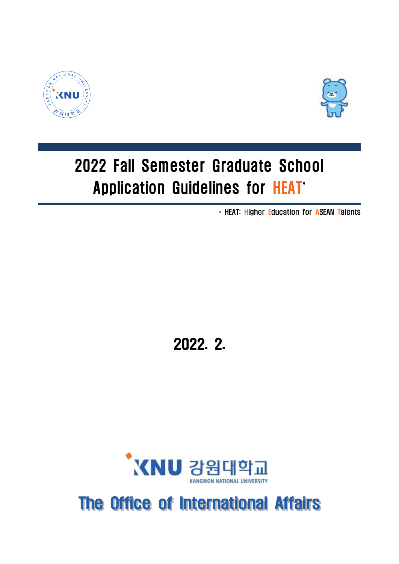



# 2022 Fall Semester Graduate School Application Guidelines for HEAT\*

\* HEAT: Higher Education for ASEAN Talents

2022. 2.



## The Office of International Affairs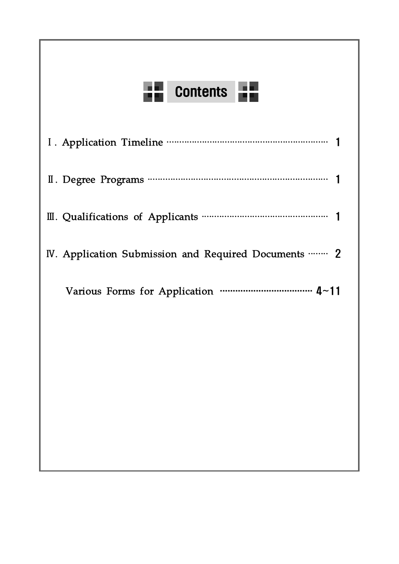# **TH** Contents

| IV. Application Submission and Required Documents  2 |  |
|------------------------------------------------------|--|
|                                                      |  |
|                                                      |  |
|                                                      |  |
|                                                      |  |
|                                                      |  |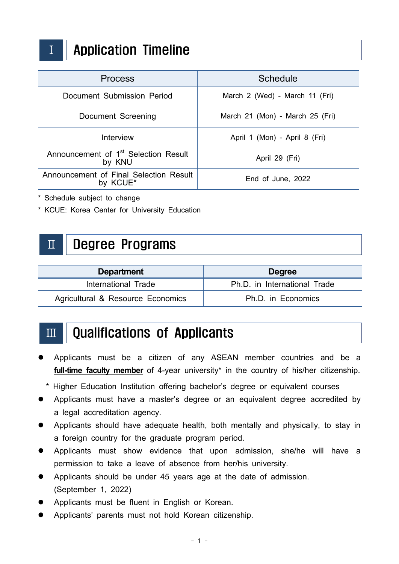

### Ⅰ Application Timeline

| <b>Process</b>                                             | <b>Schedule</b>                 |
|------------------------------------------------------------|---------------------------------|
| Document Submission Period                                 | March 2 (Wed) - March 11 (Fri)  |
| Document Screening                                         | March 21 (Mon) - March 25 (Fri) |
| Interview                                                  | April 1 (Mon) - April 8 (Fri)   |
| Announcement of 1 <sup>st</sup> Selection Result<br>by KNU | April 29 (Fri)                  |
| Announcement of Final Selection Result<br>by KCUE*         | End of June, 2022               |

\* Schedule subject to change

\* KCUE: Korea Center for University Education

### Ⅱ Degree Programs

| <b>Department</b>                 | <b>Degree</b>                |
|-----------------------------------|------------------------------|
| International Trade               | Ph.D. in International Trade |
| Agricultural & Resource Economics | Ph.D. in Economics           |

### Ⅲ Qualifications of Applicants

- Applicants must be a citizen of any ASEAN member countries and be a full-time faculty member of 4-year university<sup>\*</sup> in the country of his/her citizenship.
	- \* Higher Education Institution offering bachelor's degree or equivalent courses
- Applicants must have a master's degree or an equivalent degree accredited by a legal accreditation agency.
- l Applicants should have adequate health, both mentally and physically, to stay in a foreign country for the graduate program period.
- l Applicants must show evidence that upon admission, she/he will have a permission to take a leave of absence from her/his university.
- Applicants should be under 45 years age at the date of admission. (September 1, 2022)
- Applicants must be fluent in English or Korean.
- Applicants' parents must not hold Korean citizenship.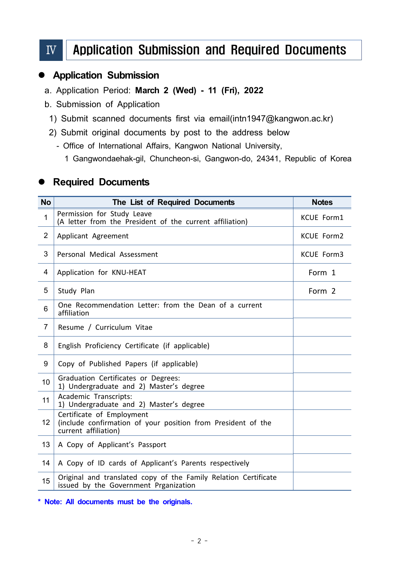### Ⅳ Application Submission and Required Documents

#### **Application Submission**

- a. Application Period: **March 2 (Wed) 11 (Fri), 2022**
- b. Submission of Application
	- 1) Submit scanned documents first via email[\(intn1947@kangwon.ac.kr\)](mailto:intn@kangwon.ac.kr)
	- 2) Submit original documents by post to the address below
		- Office of International Affairs, Kangwon National University,
			- 1 Gangwondaehak-gil, Chuncheon-si, Gangwon-do, 24341, Republic of Korea

#### **• Required Documents**

| <b>No</b>      | The List of Required Documents                                                                                    | <b>Notes</b>      |
|----------------|-------------------------------------------------------------------------------------------------------------------|-------------------|
| 1              | Permission for Study Leave<br>(A letter from the President of the current affiliation)                            | KCUE Form1        |
| $\overline{2}$ | Applicant Agreement                                                                                               | <b>KCUE Form2</b> |
| 3              | Personal Medical Assessment                                                                                       | KCUE Form3        |
| 4              | Application for KNU-HEAT                                                                                          | Form 1            |
| 5              | Study Plan                                                                                                        | Form 2            |
| 6              | One Recommendation Letter: from the Dean of a current<br>affiliation                                              |                   |
| $\overline{7}$ | Resume / Curriculum Vitae                                                                                         |                   |
| 8              | English Proficiency Certificate (if applicable)                                                                   |                   |
| 9              | Copy of Published Papers (if applicable)                                                                          |                   |
| 10             | Graduation Certificates or Degrees:<br>1) Undergraduate and 2) Master's degree                                    |                   |
| 11             | Academic Transcripts:<br>1) Undergraduate and 2) Master's degree                                                  |                   |
| 12             | Certificate of Employment<br>(include confirmation of your position from President of the<br>current affiliation) |                   |
| 13             | A Copy of Applicant's Passport                                                                                    |                   |
| 14             | A Copy of ID cards of Applicant's Parents respectively                                                            |                   |
| 15             | Original and translated copy of the Family Relation Certificate<br>issued by the Government Prganization          |                   |

**\* Note: All documents must be the originals.**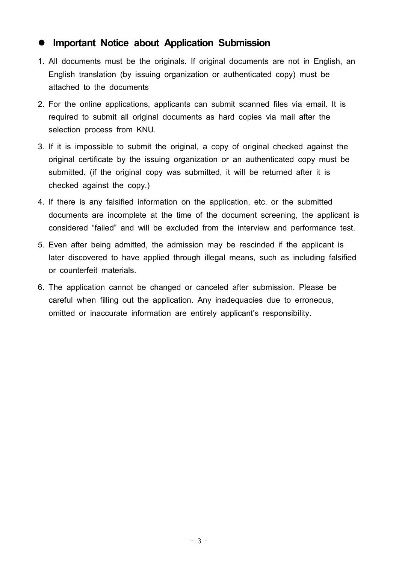#### l **Important Notice about Application Submission**

- 1. All documents must be the originals. If original documents are not in English, an English translation (by issuing organization or authenticated copy) must be attached to the documents
- 2. For the online applications, applicants can submit scanned files via email. It is required to submit all original documents as hard copies via mail after the selection process from KNU.
- 3. If it is impossible to submit the original, a copy of original checked against the original certificate by the issuing organization or an authenticated copy must be submitted. (if the original copy was submitted, it will be returned after it is checked against the copy.)
- 4. If there is any falsified information on the application, etc. or the submitted documents are incomplete at the time of the document screening, the applicant is considered "failed" and will be excluded from the interview and performance test.
- 5. Even after being admitted, the admission may be rescinded if the applicant is later discovered to have applied through illegal means, such as including falsified or counterfeit materials.
- 6. The application cannot be changed or canceled after submission. Please be careful when filling out the application. Any inadequacies due to erroneous, omitted or inaccurate information are entirely applicant's responsibility.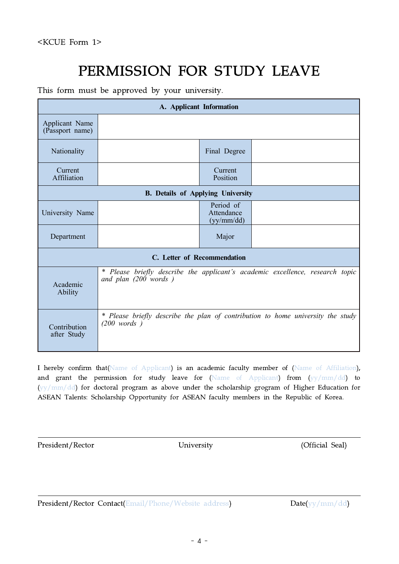### PERMISSION FOR STUDY LEAVE

This form must be approved by your university.

| A. Applicant Information          |                                          |                                       |                                                                                 |  |  |  |
|-----------------------------------|------------------------------------------|---------------------------------------|---------------------------------------------------------------------------------|--|--|--|
| Applicant Name<br>(Passport name) |                                          |                                       |                                                                                 |  |  |  |
| Nationality                       |                                          | Final Degree                          |                                                                                 |  |  |  |
| Current<br>Affiliation            |                                          | Current<br>Position                   |                                                                                 |  |  |  |
|                                   | <b>B.</b> Details of Applying University |                                       |                                                                                 |  |  |  |
| University Name                   |                                          | Period of<br>Attendance<br>(yy/mm/dd) |                                                                                 |  |  |  |
| Department                        |                                          | Major                                 |                                                                                 |  |  |  |
|                                   | C. Letter of Recommendation              |                                       |                                                                                 |  |  |  |
| Academic<br>Ability               | and plan $(200 \text{ words})$           |                                       | * Please briefly describe the applicant's academic excellence, research topic   |  |  |  |
| Contribution<br>after Study       | $(200 \text{ words})$                    |                                       | * Please briefly describe the plan of contribution to home university the study |  |  |  |

I hereby confirm that(Name of Applicant) is an academic faculty member of (Name of Affiliation), and grant the permission for study leave for (Name of Applicant) from (yy/mm/dd) to (yy/mm/dd) for doctoral program as above under the scholarship grogram of Higher Education for ASEAN Talents: Scholarship Opportunity for ASEAN faculty members in the Republic of Korea.

President/Rector University University (Official Seal)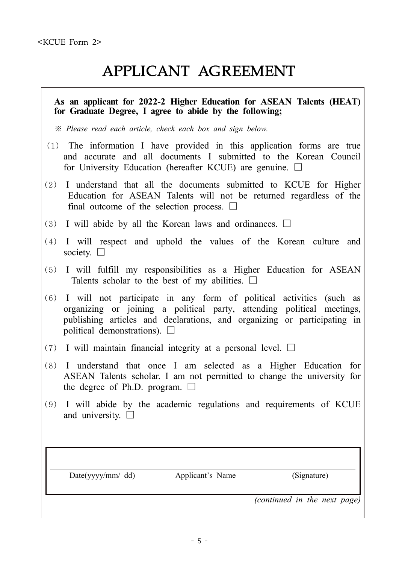### APPLICANT AGREEMENT

#### **As an applicant for 2022-2 Higher Education for ASEAN Talents (HEAT) for Graduate Degree, I agree to abide by the following;**

*※ Please read each article, check each box and sign below.*

- (1) The information I have provided in this application forms are true and accurate and all documents I submitted to the Korean Council for University Education (hereafter KCUE) are genuine.  $\Box$
- (2) I understand that all the documents submitted to KCUE for Higher Education for ASEAN Talents will not be returned regardless of the final outcome of the selection process.  $\Box$
- (3) I will abide by all the Korean laws and ordinances.  $\Box$
- (4) I will respect and uphold the values of the Korean culture and society.  $\square$
- (5) I will fulfill my responsibilities as a Higher Education for ASEAN Talents scholar to the best of my abilities.  $\Box$
- (6) I will not participate in any form of political activities (such as organizing or joining a political party, attending political meetings, publishing articles and declarations, and organizing or participating in political demonstrations).  $\Box$
- (7) I will maintain financial integrity at a personal level.  $\Box$
- (8) I understand that once I am selected as a Higher Education for ASEAN Talents scholar. I am not permitted to change the university for the degree of Ph.D. program.  $\Box$
- (9) I will abide by the academic regulations and requirements of KCUE and university.  $\Box$

*Continued in the next page*) Date(yyyy/mm/ dd) Applicant's Name (Signature) (Signature)  $\frac{1}{2}$  (*continued in the next page*)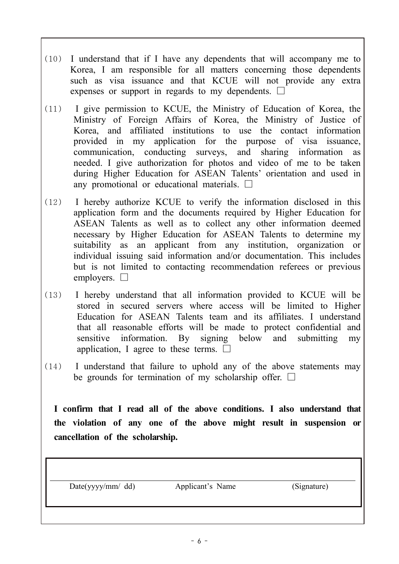- (10) I understand that if I have any dependents that will accompany me to Korea, I am responsible for all matters concerning those dependents such as visa issuance and that KCUE will not provide any extra expenses or support in regards to my dependents.  $\Box$
- (11) I give permission to KCUE, the Ministry of Education of Korea, the Ministry of Foreign Affairs of Korea, the Ministry of Justice of Korea, and affiliated institutions to use the contact information provided in my application for the purpose of visa issuance, communication, conducting surveys, and sharing information as needed. I give authorization for photos and video of me to be taken during Higher Education for ASEAN Talents' orientation and used in any promotional or educational materials.  $\Box$
- (12) I hereby authorize KCUE to verify the information disclosed in this application form and the documents required by Higher Education for ASEAN Talents as well as to collect any other information deemed necessary by Higher Education for ASEAN Talents to determine my suitability as an applicant from any institution, organization or individual issuing said information and/or documentation. This includes but is not limited to contacting recommendation referees or previous employers.  $\Box$
- (13) I hereby understand that all information provided to KCUE will be stored in secured servers where access will be limited to Higher Education for ASEAN Talents team and its affiliates. I understand that all reasonable efforts will be made to protect confidential and sensitive information. By signing below and submitting my application, I agree to these terms.  $□$
- (14) I understand that failure to uphold any of the above statements may be grounds for termination of my scholarship offer.  $\Box$

**I confirm that I read all of the above conditions. I also understand that the violation of any one of the above might result in suspension or cancellation of the scholarship.**

Date(yyyy/mm/ dd) Applicant's Name (Signature)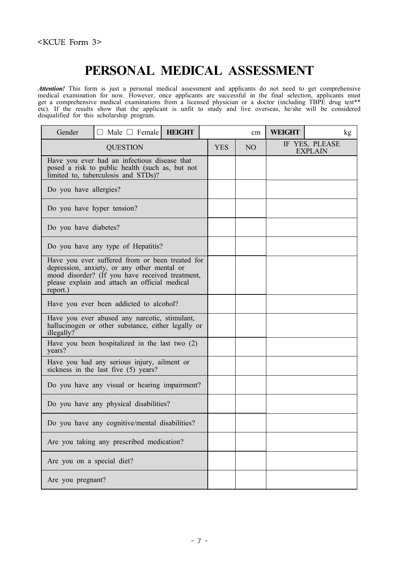### **PERSONAL MEDICAL ASSESSMENT**

*Attention!* This form is just a personal medical assessment and applicants do not need to get comprehensive medical examination for now. However, once applicants are successful in the final selection, applicants must get a comprehensive medical examinations from a licensed physician or a doctor (including TBPE drug test\*\* etc). If the results show that the applicant is unfit to study and live overseas, he/she will be considered disqualified for this scholarship program.

| Gender                     | Male $\Box$ Female                                                                                                                                                                                 | <b>HEIGHT</b> |            | cm | <b>WEIGHT</b> | kg                               |
|----------------------------|----------------------------------------------------------------------------------------------------------------------------------------------------------------------------------------------------|---------------|------------|----|---------------|----------------------------------|
|                            | <b>QUESTION</b>                                                                                                                                                                                    |               | <b>YES</b> | NO |               | IF YES, PLEASE<br><b>EXPLAIN</b> |
|                            | Have you ever had an infectious disease that<br>posed a risk to public health (such as, but not<br>limited to, tuberculosis and STDs)?                                                             |               |            |    |               |                                  |
| Do you have allergies?     |                                                                                                                                                                                                    |               |            |    |               |                                  |
| Do you have hyper tension? |                                                                                                                                                                                                    |               |            |    |               |                                  |
| Do you have diabetes?      |                                                                                                                                                                                                    |               |            |    |               |                                  |
|                            | Do you have any type of Hepatitis?                                                                                                                                                                 |               |            |    |               |                                  |
| report.)                   | Have you ever suffered from or been treated for<br>depression, anxiety, or any other mental or<br>mood disorder? (If you have received treatment,<br>please explain and attach an official medical |               |            |    |               |                                  |
|                            | Have you ever been addicted to alcohol?                                                                                                                                                            |               |            |    |               |                                  |
| illegally?                 | Have you ever abused any narcotic, stimulant,<br>hallucinogen or other substance, either legally or                                                                                                |               |            |    |               |                                  |
| years?                     | Have you been hospitalized in the last two $(2)$                                                                                                                                                   |               |            |    |               |                                  |
|                            | Have you had any serious injury, ailment or<br>sickness in the last five (5) years?                                                                                                                |               |            |    |               |                                  |
|                            | Do you have any visual or hearing impairment?                                                                                                                                                      |               |            |    |               |                                  |
|                            | Do you have any physical disabilities?                                                                                                                                                             |               |            |    |               |                                  |
|                            | Do you have any cognitive/mental disabilities?                                                                                                                                                     |               |            |    |               |                                  |
|                            | Are you taking any prescribed medication?                                                                                                                                                          |               |            |    |               |                                  |
| Are you on a special diet? |                                                                                                                                                                                                    |               |            |    |               |                                  |
| Are you pregnant?          |                                                                                                                                                                                                    |               |            |    |               |                                  |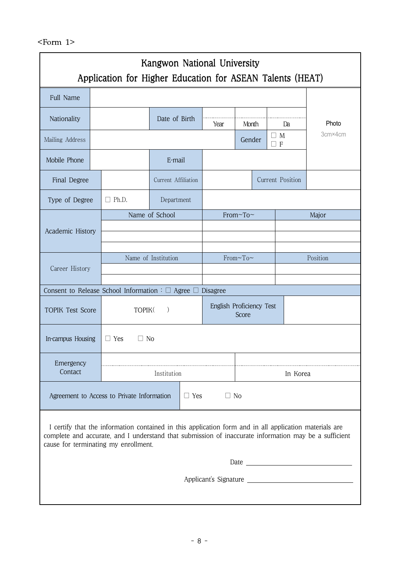|                         |                                                                                                                                                           | Application for Higher Education for ASEAN Talents (HEAT)                                                                                                                                                                                               |                     |            | Kangwon National University |                                |  |                  |                       |
|-------------------------|-----------------------------------------------------------------------------------------------------------------------------------------------------------|---------------------------------------------------------------------------------------------------------------------------------------------------------------------------------------------------------------------------------------------------------|---------------------|------------|-----------------------------|--------------------------------|--|------------------|-----------------------|
| Full Name               |                                                                                                                                                           |                                                                                                                                                                                                                                                         |                     |            |                             |                                |  |                  |                       |
| Nationality             |                                                                                                                                                           |                                                                                                                                                                                                                                                         | Date of Birth       |            | Year                        | Month                          |  | Da               | Photo                 |
| Mailing Address         |                                                                                                                                                           |                                                                                                                                                                                                                                                         |                     |            |                             | $\Box$ M<br>Gender<br>$\Box$ F |  |                  | 3cm×4cm               |
| Mobile Phone            |                                                                                                                                                           |                                                                                                                                                                                                                                                         | E-mail              |            |                             |                                |  |                  |                       |
| Final Degree            |                                                                                                                                                           |                                                                                                                                                                                                                                                         | Current Affiliation |            |                             |                                |  | Current Position |                       |
| Type of Degree          |                                                                                                                                                           | Ph.D.<br>ΓI                                                                                                                                                                                                                                             | Department          |            |                             |                                |  |                  |                       |
|                         |                                                                                                                                                           |                                                                                                                                                                                                                                                         | Name of School      |            |                             | From~To~                       |  |                  | Major                 |
| Academic History        |                                                                                                                                                           |                                                                                                                                                                                                                                                         |                     |            |                             |                                |  |                  |                       |
| Career History          |                                                                                                                                                           |                                                                                                                                                                                                                                                         | Name of Institution | From~To~   |                             |                                |  |                  | Position              |
|                         |                                                                                                                                                           |                                                                                                                                                                                                                                                         |                     |            |                             |                                |  |                  |                       |
| <b>TOPIK Test Score</b> | Consent to Release School Information : $\square$ Agree $\square$<br>Disagree<br>English Proficiency Test<br>TOPIK <sub>(</sub><br>$\mathcal{E}$<br>Score |                                                                                                                                                                                                                                                         |                     |            |                             |                                |  |                  |                       |
| In-campus Housing       |                                                                                                                                                           | $\Box$ Yes<br>$\Box$ No                                                                                                                                                                                                                                 |                     |            |                             |                                |  |                  |                       |
| Emergency<br>Contact    |                                                                                                                                                           |                                                                                                                                                                                                                                                         | Institution         |            |                             |                                |  | In Korea         |                       |
|                         |                                                                                                                                                           | Agreement to Access to Private Information                                                                                                                                                                                                              |                     | $\Box$ Yes | $\Box$ No                   |                                |  |                  |                       |
|                         |                                                                                                                                                           | I certify that the information contained in this application form and in all application materials are<br>complete and accurate, and I understand that submission of inaccurate information may be a sufficient<br>cause for terminating my enrollment. |                     |            |                             |                                |  |                  |                       |
|                         |                                                                                                                                                           |                                                                                                                                                                                                                                                         |                     |            |                             |                                |  |                  |                       |
|                         |                                                                                                                                                           |                                                                                                                                                                                                                                                         |                     |            |                             |                                |  |                  | Applicant's Signature |
|                         |                                                                                                                                                           |                                                                                                                                                                                                                                                         |                     |            |                             |                                |  |                  |                       |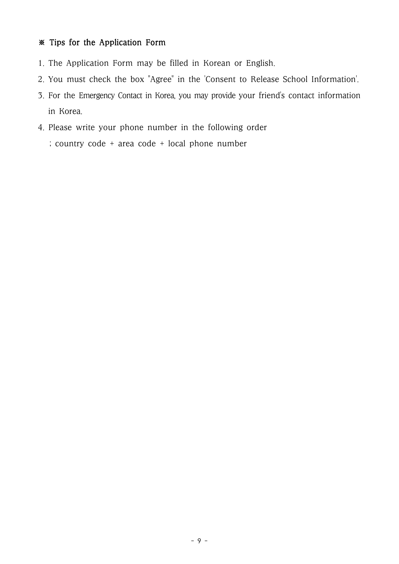#### ※ Tips for the Application Form

- 1. The Application Form may be filled in Korean or English.
- 2. You must check the box "Agree" in the 'Consent to Release School Information'.
- 3. For the Emergency Contact in Korea, you may provide your friend's contact information in Korea.
- 4. Please write your phone number in the following order
	- ; country code + area code + local phone number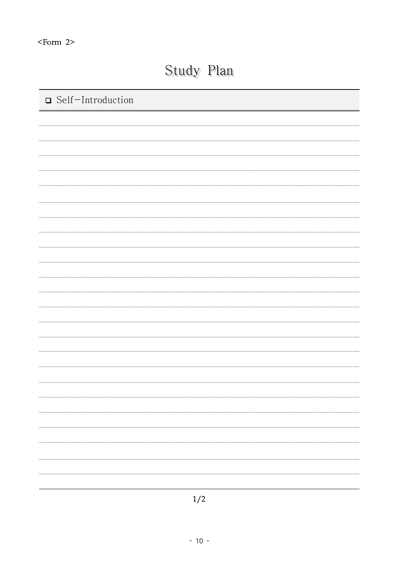### Study Plan

| □ Self-Introduction |
|---------------------|
|                     |
|                     |
|                     |
|                     |
|                     |
|                     |
|                     |
|                     |
|                     |
|                     |
|                     |
|                     |
|                     |
|                     |
|                     |
|                     |
|                     |
|                     |
|                     |
|                     |
|                     |
|                     |
|                     |
|                     |

1/2